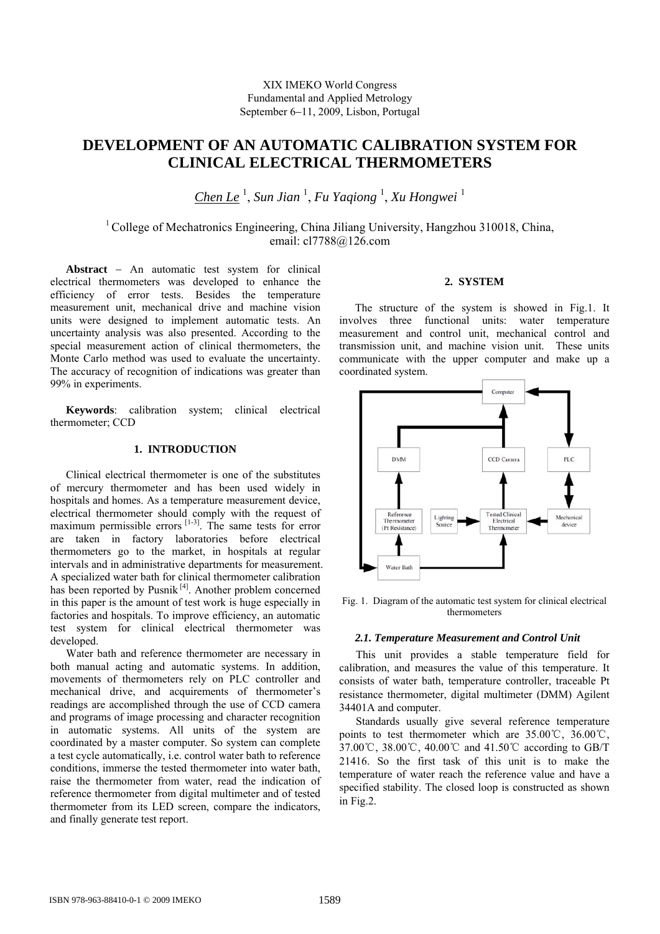# XIX IMEKO World Congress Fundamental and Applied Metrology September 6−11, 2009, Lisbon, Portugal

# **DEVELOPMENT OF AN AUTOMATIC CALIBRATION SYSTEM FOR CLINICAL ELECTRICAL THERMOMETERS**

*Chen Le* <sup>1</sup> , *Sun Jian* <sup>1</sup> , *Fu Yaqiong* <sup>1</sup> , *Xu Hongwei* <sup>1</sup>

<sup>1</sup> College of Mechatronics Engineering, China Jiliang University, Hangzhou 310018, China, email: cl7788@126.com

**Abstract** − An automatic test system for clinical electrical thermometers was developed to enhance the efficiency of error tests. Besides the temperature measurement unit, mechanical drive and machine vision units were designed to implement automatic tests. An uncertainty analysis was also presented. According to the special measurement action of clinical thermometers, the Monte Carlo method was used to evaluate the uncertainty. The accuracy of recognition of indications was greater than 99% in experiments.

**Keywords**: calibration system; clinical electrical thermometer; CCD

# **1. INTRODUCTION**

Clinical electrical thermometer is one of the substitutes of mercury thermometer and has been used widely in hospitals and homes. As a temperature measurement device, electrical thermometer should comply with the request of maximum permissible errors  $[1-3]$ . The same tests for error are taken in factory laboratories before electrical thermometers go to the market, in hospitals at regular intervals and in administrative departments for measurement. A specialized water bath for clinical thermometer calibration has been reported by Pusnik  $[4]$ . Another problem concerned in this paper is the amount of test work is huge especially in factories and hospitals. To improve efficiency, an automatic test system for clinical electrical thermometer was developed.

Water bath and reference thermometer are necessary in both manual acting and automatic systems. In addition, movements of thermometers rely on PLC controller and mechanical drive, and acquirements of thermometer's readings are accomplished through the use of CCD camera and programs of image processing and character recognition in automatic systems. All units of the system are coordinated by a master computer. So system can complete a test cycle automatically, i.e. control water bath to reference conditions, immerse the tested thermometer into water bath, raise the thermometer from water, read the indication of reference thermometer from digital multimeter and of tested thermometer from its LED screen, compare the indicators, and finally generate test report.

# **2. SYSTEM**

The structure of the system is showed in Fig.1. It involves three functional units: water temperature measurement and control unit, mechanical control and transmission unit, and machine vision unit. These units communicate with the upper computer and make up a coordinated system.



Fig. 1. Diagram of the automatic test system for clinical electrical thermometers

## *2.1. Temperature Measurement and Control Unit*

This unit provides a stable temperature field for calibration, and measures the value of this temperature. It consists of water bath, temperature controller, traceable Pt resistance thermometer, digital multimeter (DMM) Agilent 34401A and computer.

Standards usually give several reference temperature points to test thermometer which are 35.00℃, 36.00℃, 37.00℃, 38.00℃, 40.00℃ and 41.50℃ according to GB/T 21416. So the first task of this unit is to make the temperature of water reach the reference value and have a specified stability. The closed loop is constructed as shown in Fig.2.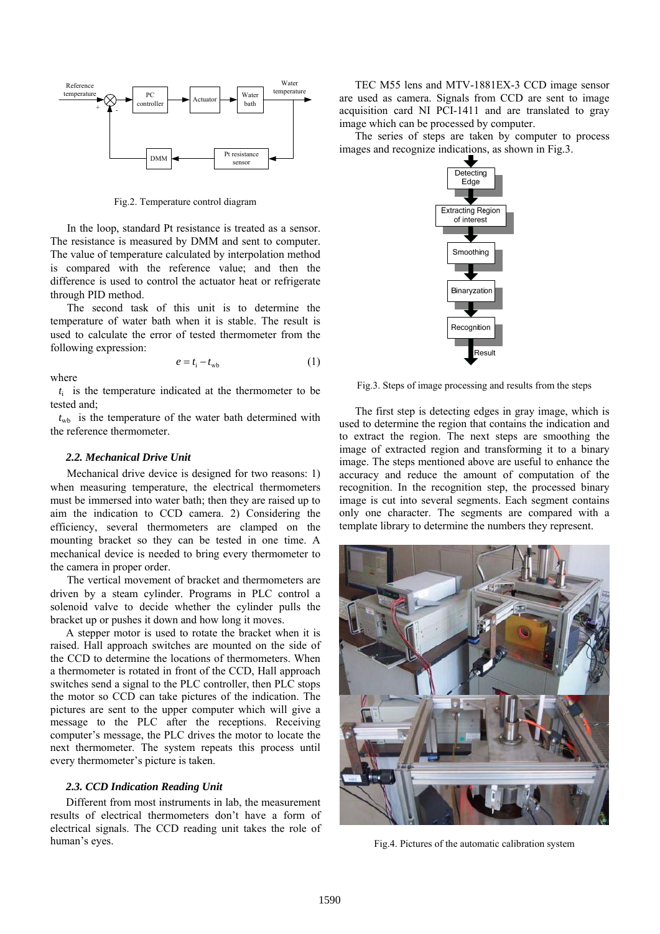

Fig.2. Temperature control diagram

In the loop, standard Pt resistance is treated as a sensor. The resistance is measured by DMM and sent to computer. The value of temperature calculated by interpolation method is compared with the reference value; and then the difference is used to control the actuator heat or refrigerate through PID method.

The second task of this unit is to determine the temperature of water bath when it is stable. The result is used to calculate the error of tested thermometer from the following expression:

$$
e = t_{\rm i} - t_{\rm wb} \tag{1}
$$

where

 $t_i$  is the temperature indicated at the thermometer to be tested and;

 $t_{\rm wb}$  is the temperature of the water bath determined with the reference thermometer.

#### *2.2. Mechanical Drive Unit*

Mechanical drive device is designed for two reasons: 1) when measuring temperature, the electrical thermometers must be immersed into water bath; then they are raised up to aim the indication to CCD camera. 2) Considering the efficiency, several thermometers are clamped on the mounting bracket so they can be tested in one time. A mechanical device is needed to bring every thermometer to the camera in proper order.

The vertical movement of bracket and thermometers are driven by a steam cylinder. Programs in PLC control a solenoid valve to decide whether the cylinder pulls the bracket up or pushes it down and how long it moves.

A stepper motor is used to rotate the bracket when it is raised. Hall approach switches are mounted on the side of the CCD to determine the locations of thermometers. When a thermometer is rotated in front of the CCD, Hall approach switches send a signal to the PLC controller, then PLC stops the motor so CCD can take pictures of the indication. The pictures are sent to the upper computer which will give a message to the PLC after the receptions. Receiving computer's message, the PLC drives the motor to locate the next thermometer. The system repeats this process until every thermometer's picture is taken.

## *2.3. CCD Indication Reading Unit*

Different from most instruments in lab, the measurement results of electrical thermometers don't have a form of electrical signals. The CCD reading unit takes the role of human's eyes.

TEC M55 lens and MTV-1881EX-3 CCD image sensor are used as camera. Signals from CCD are sent to image acquisition card NI PCI-1411 and are translated to gray image which can be processed by computer.

The series of steps are taken by computer to process images and recognize indications, as shown in Fig.3.



Fig.3. Steps of image processing and results from the steps

The first step is detecting edges in gray image, which is used to determine the region that contains the indication and to extract the region. The next steps are smoothing the image of extracted region and transforming it to a binary image. The steps mentioned above are useful to enhance the accuracy and reduce the amount of computation of the recognition. In the recognition step, the processed binary image is cut into several segments. Each segment contains only one character. The segments are compared with a template library to determine the numbers they represent.



Fig.4. Pictures of the automatic calibration system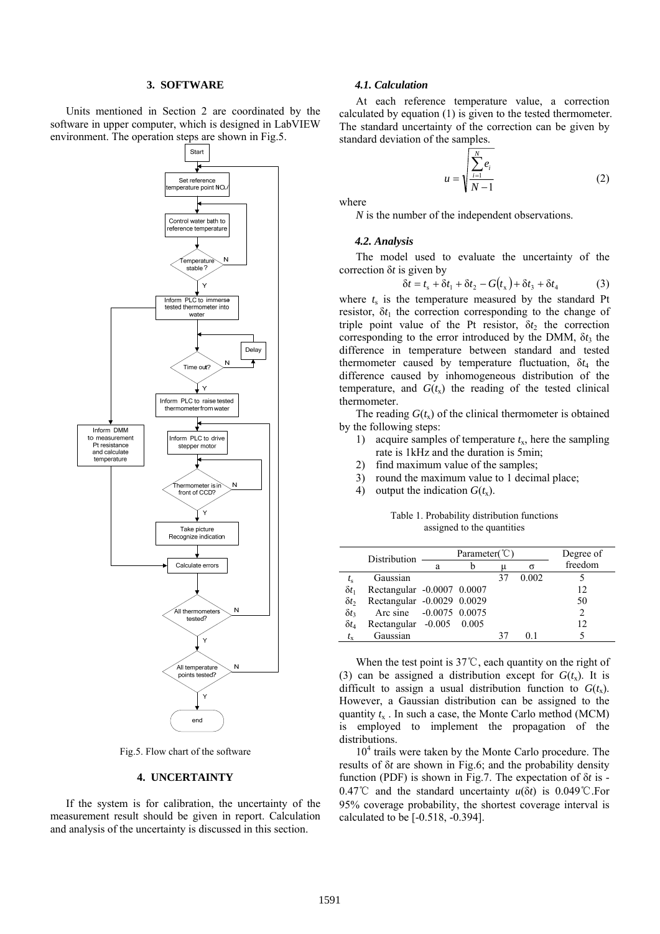## **3. SOFTWARE**

Units mentioned in Section 2 are coordinated by the software in upper computer, which is designed in LabVIEW environment. The operation steps are shown in Fig.5.



Fig.5. Flow chart of the software

## **4. UNCERTAINTY**

If the system is for calibration, the uncertainty of the measurement result should be given in report. Calculation and analysis of the uncertainty is discussed in this section.

#### *4.1. Calculation*

At each reference temperature value, a correction calculated by equation (1) is given to the tested thermometer. The standard uncertainty of the correction can be given by standard deviation of the samples.

$$
u = \sqrt{\frac{\sum_{i=1}^{N} e_i}{N-1}}
$$
 (2)

where

*N* is the number of the independent observations.

### *4.2. Analysis*

The model used to evaluate the uncertainty of the correction δ*t* is given by

$$
\delta t = t_s + \delta t_1 + \delta t_2 - G(t_x) + \delta t_3 + \delta t_4 \tag{3}
$$

where  $t_s$  is the temperature measured by the standard Pt resistor,  $\delta t_1$  the correction corresponding to the change of triple point value of the Pt resistor,  $\delta t_2$  the correction corresponding to the error introduced by the DMM,  $\delta t_3$  the difference in temperature between standard and tested thermometer caused by temperature fluctuation,  $\delta t_4$  the difference caused by inhomogeneous distribution of the temperature, and  $G(t_x)$  the reading of the tested clinical thermometer.

The reading  $G(t<sub>x</sub>)$  of the clinical thermometer is obtained by the following steps:

- 1) acquire samples of temperature *t*x, here the sampling rate is 1kHz and the duration is 5min;
- 2) find maximum value of the samples;
- 3) round the maximum value to 1 decimal place;
- 4) output the indication  $G(t_x)$ .

Table 1. Probability distribution functions assigned to the quantities

|              | Distribution               | Parameter( $\degree$ C) |       |    |       | Degree of      |
|--------------|----------------------------|-------------------------|-------|----|-------|----------------|
|              |                            | a                       |       | μ  | σ     | freedom        |
| $t_{\rm s}$  | Gaussian                   |                         |       | 37 | 0.002 |                |
| $\delta t_1$ | Rectangular -0.0007 0.0007 |                         |       |    |       | 12             |
| $\delta t_2$ | Rectangular -0.0029 0.0029 |                         |       |    |       | 50             |
| $\delta t_3$ | Arc sine -0.0075 0.0075    |                         |       |    |       | $\overline{c}$ |
| $\delta t_4$ | Rectangular -0.005         |                         | 0.005 |    |       | 12             |
| $t_{\rm x}$  | Gaussian                   |                         |       | 37 | 01    |                |

When the test point is 37℃, each quantity on the right of (3) can be assigned a distribution except for  $G(t<sub>x</sub>)$ . It is difficult to assign a usual distribution function to  $G(t<sub>x</sub>)$ . However, a Gaussian distribution can be assigned to the quantity  $t_x$ . In such a case, the Monte Carlo method (MCM) is employed to implement the propagation of the distributions.

10<sup>4</sup> trails were taken by the Monte Carlo procedure. The results of δ*t* are shown in Fig.6; and the probability density function (PDF) is shown in Fig.7. The expectation of δ*t* is - 0.47℃ and the standard uncertainty *u*(δ*t*) is 0.049℃.For 95% coverage probability, the shortest coverage interval is calculated to be [-0.518, -0.394].